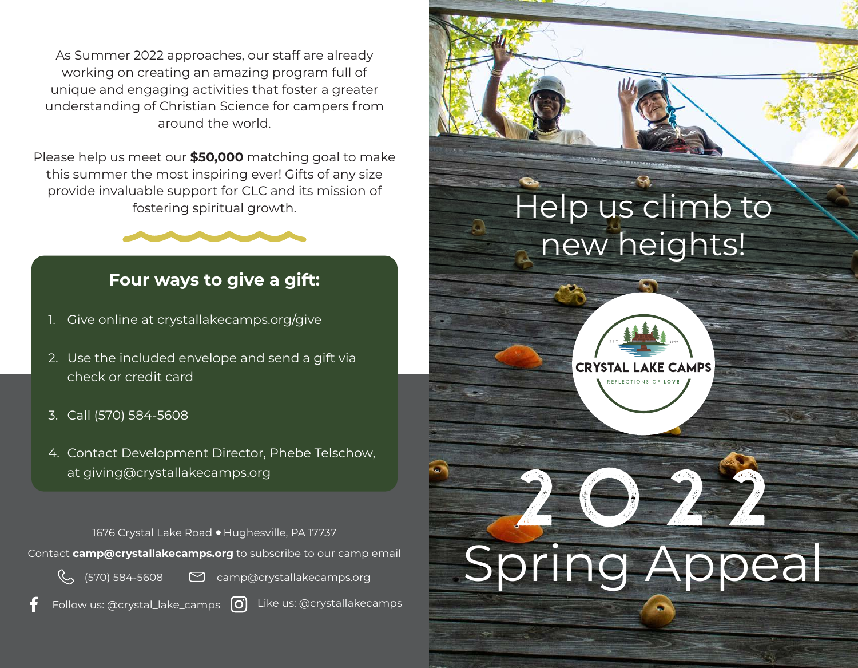As Summer 2022 approaches, our staff are already working on creating an amazing program full of unique and engaging activities that foster a greater understanding of Christian Science for campers from around the world.

Please help us meet our **\$50,000** matching goal to make this summer the most inspiring ever! Gifts of any size provide invaluable support for CLC and its mission of fostering spiritual growth.



## **Four ways to give a gift:**

- 1. Give online at crystallakecamps.org/give
- 2. Use the included envelope and send a gift via check or credit card
- 3. Call (570) 584-5608
- 4. Contact Development Director, Phebe Telschow, at giving@crystallakecamps.org

Contact **camp@crystallakecamps.org** to subscribe to our camp email 1676 Crystal Lake Road · Hughesville, PA 17737



 $\%$  (570) 584-5608  $\degree$  camp@crystallakecamps.org

Follow us:  $@crystal_lake_camps$   $@$  Like us:  $@crystallakecamps$ 

## Help us climb to new heights!



## **2022** Spring Appeal